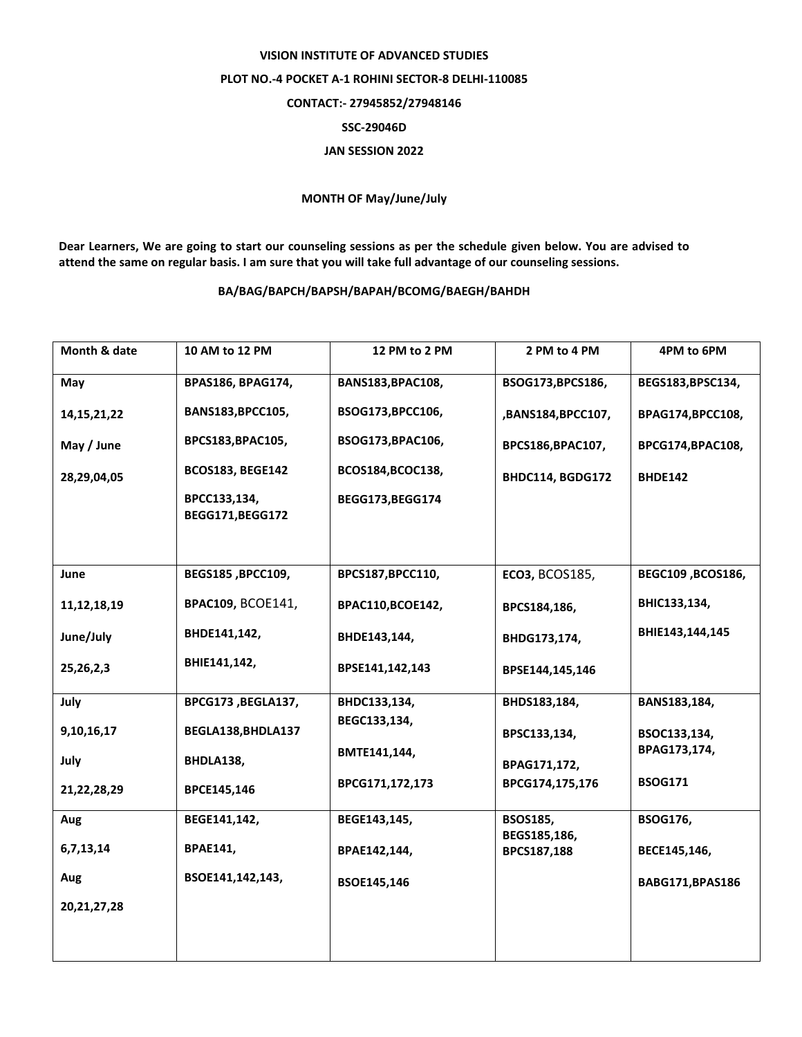## **VISION INSTITUTE OF ADVANCED STUDIES PLOT NO.-4 POCKET A-1 ROHINI SECTOR-8 DELHI-110085 CONTACT:- 27945852/27948146 SSC-29046D JAN SESSION 2022**

## **MONTH OF May/June/July**

**Dear Learners, We are going to start our counseling sessions as per the schedule given below. You are advised to attend the same on regular basis. I am sure that you will take full advantage of our counseling sessions.**

## **BA/BAG/BAPCH/BAPSH/BAPAH/BCOMG/BAEGH/BAHDH**

| Month & date   | 10 AM to 12 PM                   | 12 PM to 2 PM     | 2 PM to 4 PM                | 4PM to 6PM        |
|----------------|----------------------------------|-------------------|-----------------------------|-------------------|
| May            | <b>BPAS186, BPAG174,</b>         | BANS183, BPAC108, | BSOG173, BPCS186,           | BEGS183,BPSC134,  |
| 14, 15, 21, 22 | BANS183, BPCC105,                | BSOG173, BPCC106, | ,BANS184,BPCC107,           | BPAG174,BPCC108,  |
| May / June     | BPCS183, BPAC105,                | BSOG173, BPAC106, | BPCS186, BPAC107,           | BPCG174,BPAC108,  |
| 28,29,04,05    | <b>BCOS183, BEGE142</b>          | BCOS184, BCOC138, | BHDC114, BGDG172            | <b>BHDE142</b>    |
|                | BPCC133,134,<br>BEGG171, BEGG172 | BEGG173, BEGG174  |                             |                   |
|                |                                  |                   |                             |                   |
| June           | BEGS185, BPCC109,                | BPCS187, BPCC110, | <b>ECO3, BCOS185,</b>       | BEGC109, BCOS186, |
| 11, 12, 18, 19 | <b>BPAC109, BCOE141,</b>         | BPAC110,BCOE142,  | BPCS184,186,                | BHIC133,134,      |
| June/July      | BHDE141,142,                     | BHDE143,144,      | BHDG173,174,                | BHIE143,144,145   |
| 25, 26, 2, 3   | BHIE141,142,                     | BPSE141,142,143   | BPSE144,145,146             |                   |
| July           | BPCG173, BEGLA137,               | BHDC133,134,      | BHDS183,184,                | BANS183,184,      |
| 9,10,16,17     | BEGLA138, BHDLA137               | BEGC133,134,      | BPSC133,134,                | BSOC133,134,      |
| July           | BHDLA138,                        | BMTE141,144,      | BPAG171,172,                | BPAG173,174,      |
| 21,22,28,29    | BPCE145,146                      | BPCG171,172,173   | BPCG174,175,176             | <b>BSOG171</b>    |
| Aug            | BEGE141,142,                     | BEGE143,145,      | <b>BSOS185,</b>             | <b>BSOG176,</b>   |
| 6,7,13,14      | <b>BPAE141,</b>                  | BPAE142,144,      | BEGS185,186,<br>BPCS187,188 | BECE145,146,      |
| Aug            | BSOE141,142,143,                 | BSOE145,146       |                             | BABG171, BPAS186  |
| 20, 21, 27, 28 |                                  |                   |                             |                   |
|                |                                  |                   |                             |                   |
|                |                                  |                   |                             |                   |